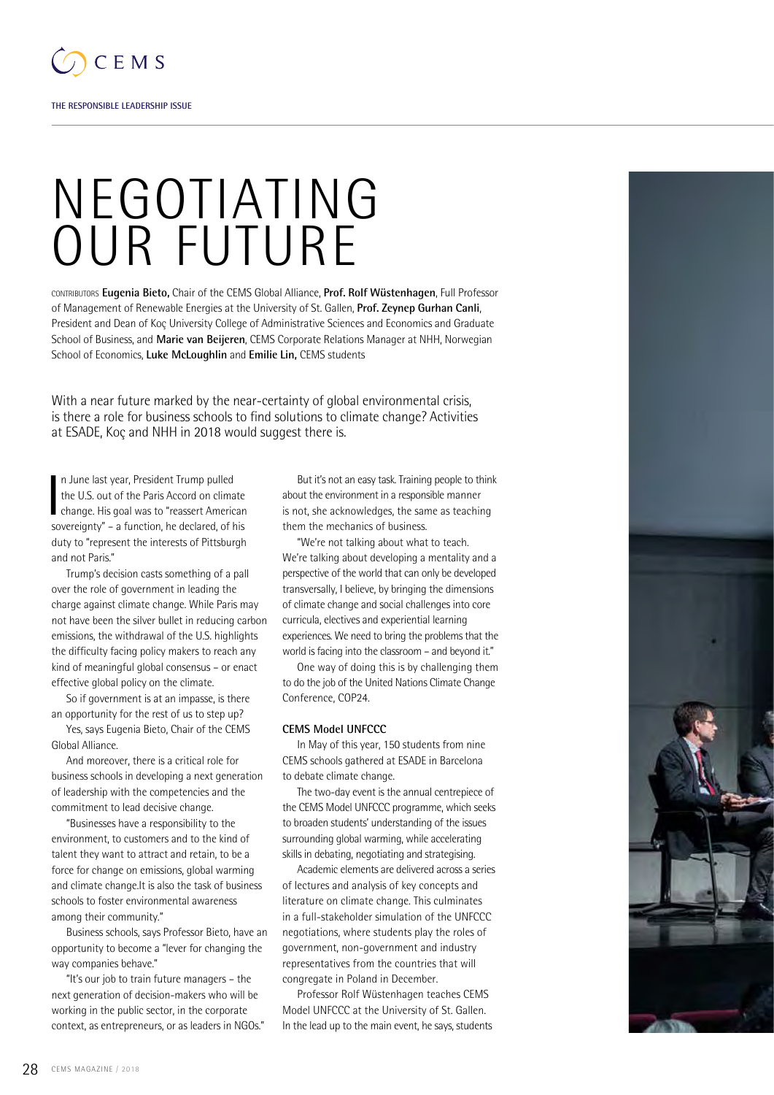

# NEGOTIATING OUR FUTURE

contributors **Eugenia Bieto,** Chair of the CEMS Global Alliance, **Prof. Rolf Wüstenhagen**, Full Professor of Management of Renewable Energies at the University of St. Gallen, **Prof. Zeynep Gurhan Canli**, President and Dean of Koç University College of Administrative Sciences and Economics and Graduate School of Business, and **Marie van Beijeren**, CEMS Corporate Relations Manager at NHH, Norwegian School of Economics, **Luke McLoughlin** and **Emilie Lin,** CEMS students

With a near future marked by the near-certainty of global environmental crisis, is there a role for business schools to find solutions to climate change? Activities at ESADE, Koç and NHH in 2018 would suggest there is.

I n June last year, President Trump pulled the U.S. out of the Paris Accord on climate change. His goal was to "reassert American sovereignty" – a function, he declared, of his duty to "represent the interests of Pittsburgh and not Paris."

Trump's decision casts something of a pall over the role of government in leading the charge against climate change. While Paris may not have been the silver bullet in reducing carbon emissions, the withdrawal of the U.S. highlights the difficulty facing policy makers to reach any kind of meaningful global consensus – or enact effective global policy on the climate.

So if government is at an impasse, is there an opportunity for the rest of us to step up?

Yes, says Eugenia Bieto, Chair of the CEMS Global Alliance.

And moreover, there is a critical role for business schools in developing a next generation of leadership with the competencies and the commitment to lead decisive change.

"Businesses have a responsibility to the environment, to customers and to the kind of talent they want to attract and retain, to be a force for change on emissions, global warming and climate change.It is also the task of business schools to foster environmental awareness among their community."

Business schools, says Professor Bieto, have an opportunity to become a "lever for changing the way companies behave."

"It's our job to train future managers – the next generation of decision-makers who will be working in the public sector, in the corporate context, as entrepreneurs, or as leaders in NGOs."

But it's not an easy task. Training people to think about the environment in a responsible manner is not, she acknowledges, the same as teaching them the mechanics of business.

"We're not talking about what to teach. We're talking about developing a mentality and a perspective of the world that can only be developed transversally, I believe, by bringing the dimensions of climate change and social challenges into core curricula, electives and experiential learning experiences. We need to bring the problems that the world is facing into the classroom – and beyond it."

One way of doing this is by challenging them to do the job of the United Nations Climate Change Conference, COP24.

### **CEMS Model UNFCCC**

In May of this year, 150 students from nine CEMS schools gathered at ESADE in Barcelona to debate climate change.

The two-day event is the annual centrepiece of the CEMS Model UNFCCC programme, which seeks to broaden students' understanding of the issues surrounding global warming, while accelerating skills in debating, negotiating and strategising.

Academic elements are delivered across a series of lectures and analysis of key concepts and literature on climate change. This culminates in a full-stakeholder simulation of the UNFCCC negotiations, where students play the roles of government, non-government and industry representatives from the countries that will congregate in Poland in December.

Professor Rolf Wüstenhagen teaches CEMS Model UNFCCC at the University of St. Gallen. In the lead up to the main event, he says, students

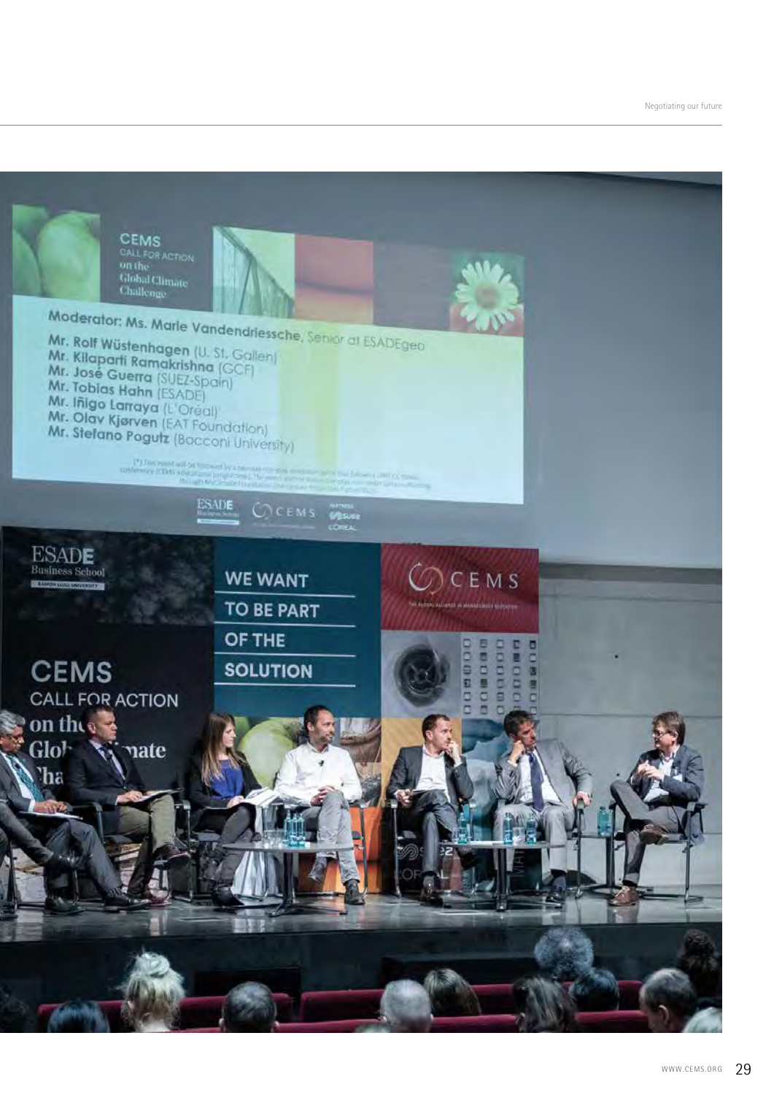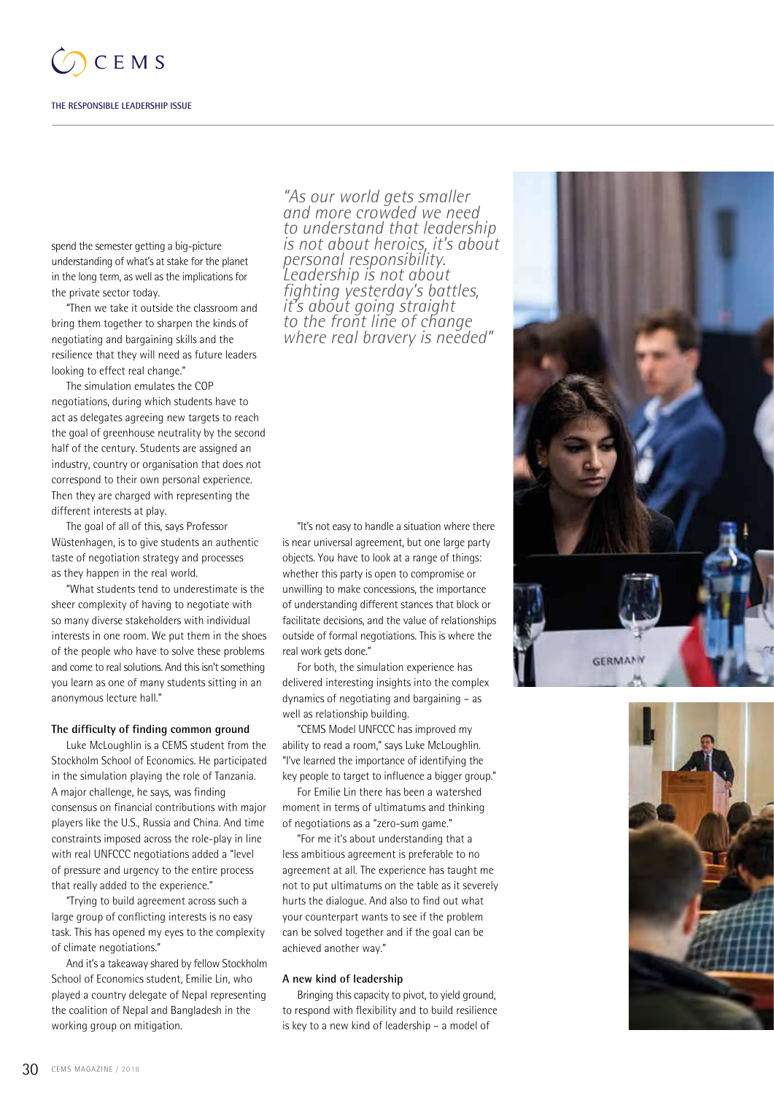spend the semester getting a big-picture understanding of what's at stake for the planet in the long term, as well as the implications for the private sector today.

"Then we take it outside the classroom and bring them together to sharpen the kinds of negotiating and bargaining skills and the resilience that they will need as future leaders looking to effect real change."

The simulation emulates the COP negotiations, during which students have to act as delegates agreeing new targets to reach the goal of greenhouse neutrality by the second half of the century. Students are assigned an industry, country or organisation that does not correspond to their own personal experience. Then they are charged with representing the different interests at play.

The goal of all of this, says Professor Wüstenhagen, is to give students an authentic taste of negotiation strategy and processes as they happen in the real world.

"What students tend to underestimate is the sheer complexity of having to negotiate with so many diverse stakeholders with individual interests in one room. We put them in the shoes of the people who have to solve these problems and come to real solutions. And this isn't something you learn as one of many students sitting in an anonymous lecture hall."

#### **The difficulty of finding common ground**

Luke McLoughlin is a CEMS student from the Stockholm School of Economics. He participated in the simulation playing the role of Tanzania. A major challenge, he says, was finding consensus on financial contributions with major players like the U.S., Russia and China. And time constraints imposed across the role-play in line with real UNFCCC negotiations added a "level of pressure and urgency to the entire process that really added to the experience."

"Trying to build agreement across such a large group of conflicting interests is no easy task. This has opened my eyes to the complexity of climate negotiations."

And it's a takeaway shared by fellow Stockholm School of Economics student, Emilie Lin, who played a country delegate of Nepal representing the coalition of Nepal and Bangladesh in the working group on mitigation.

*"As our world gets smaller and more crowded we need to understand that leadership is not about heroics, it's about personal responsibility. Leadership is not about fighting yesterday's battles, it's about going straight to the front line of change where real bravery is needed"* 

"It's not easy to handle a situation where there is near universal agreement, but one large party objects. You have to look at a range of things: whether this party is open to compromise or unwilling to make concessions, the importance of understanding different stances that block or facilitate decisions, and the value of relationships outside of formal negotiations. This is where the real work gets done."

For both, the simulation experience has delivered interesting insights into the complex dynamics of negotiating and bargaining – as well as relationship building.

"CEMS Model UNFCCC has improved my ability to read a room," says Luke McLoughlin. "I've learned the importance of identifying the key people to target to influence a bigger group."

For Emilie Lin there has been a watershed moment in terms of ultimatums and thinking of negotiations as a "zero-sum game."

"For me it's about understanding that a less ambitious agreement is preferable to no agreement at all. The experience has taught me not to put ultimatums on the table as it severely hurts the dialogue. And also to find out what your counterpart wants to see if the problem can be solved together and if the goal can be achieved another way."

## **A new kind of leadership**

Bringing this capacity to pivot, to yield ground, to respond with flexibility and to build resilience is key to a new kind of leadership – a model of



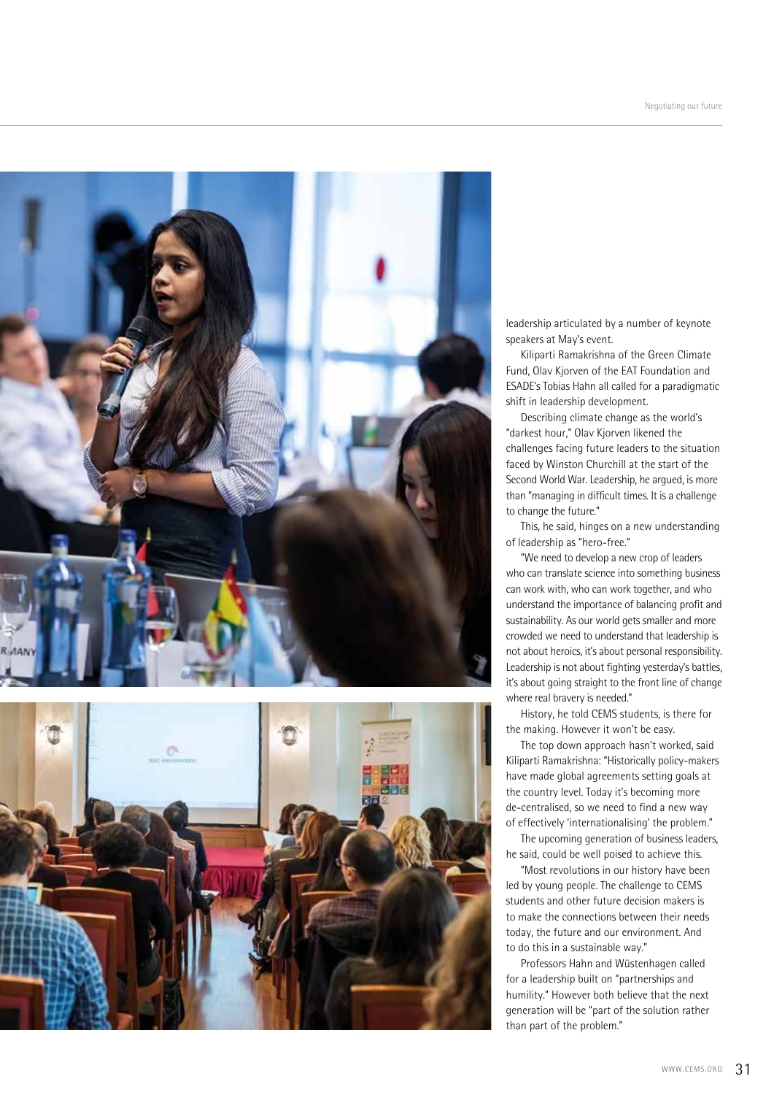



leadership articulated by a number of keynote speakers at May's event.

Kiliparti Ramakrishna of the Green Climate Fund, Olav Kjorven of the EAT Foundation and ESADE's Tobias Hahn all called for a paradigmatic shift in leadership development.

Describing climate change as the world's "darkest hour," Olav Kjorven likened the challenges facing future leaders to the situation faced by Winston Churchill at the start of the Second World War. Leadership, he argued, is more than "managing in difficult times. It is a challenge to change the future."

This, he said, hinges on a new understanding of leadership as "hero-free."

"We need to develop a new crop of leaders who can translate science into something business can work with, who can work together, and who understand the importance of balancing profit and sustainability. As our world gets smaller and more crowded we need to understand that leadership is not about heroics, it's about personal responsibility. Leadership is not about fighting yesterday's battles, it's about going straight to the front line of change where real bravery is needed."

History, he told CEMS students, is there for the making. However it won't be easy.

The top down approach hasn't worked, said Kiliparti Ramakrishna: "Historically policy-makers have made global agreements setting goals at the country level. Today it's becoming more de-centralised, so we need to find a new way of effectively 'internationalising' the problem."

The upcoming generation of business leaders, he said, could be well poised to achieve this.

"Most revolutions in our history have been led by young people. The challenge to CEMS students and other future decision makers is to make the connections between their needs today, the future and our environment. And to do this in a sustainable way."

Professors Hahn and Wüstenhagen called for a leadership built on "partnerships and humility." However both believe that the next generation will be "part of the solution rather than part of the problem."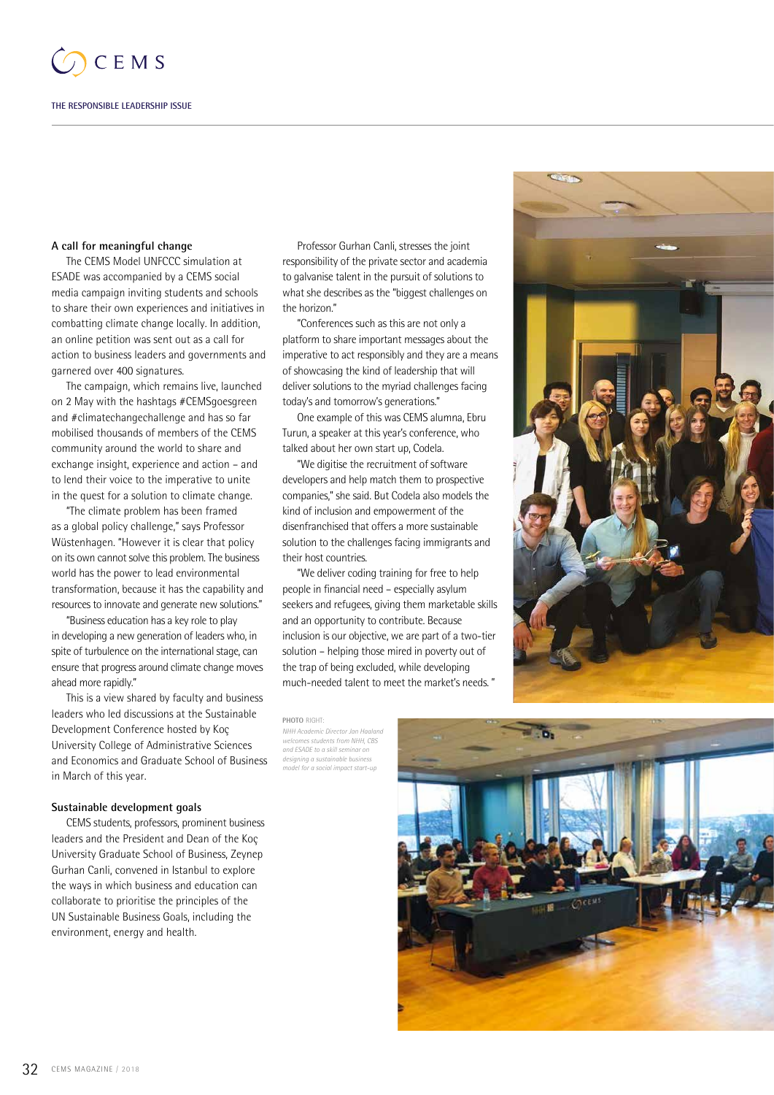**CEMS** 

#### **A call for meaningful change**

The CEMS Model UNFCCC simulation at ESADE was accompanied by a CEMS social media campaign inviting students and schools to share their own experiences and initiatives in combatting climate change locally. In addition, an online petition was sent out as a call for action to business leaders and governments and garnered over 400 signatures.

The campaign, which remains live, launched on 2 May with the hashtags #CEMSgoesgreen and #climatechangechallenge and has so far mobilised thousands of members of the CEMS community around the world to share and exchange insight, experience and action – and to lend their voice to the imperative to unite in the quest for a solution to climate change.

"The climate problem has been framed as a global policy challenge," says Professor Wüstenhagen. "However it is clear that policy on its own cannot solve this problem. The business world has the power to lead environmental transformation, because it has the capability and resources to innovate and generate new solutions."

"Business education has a key role to play in developing a new generation of leaders who, in spite of turbulence on the international stage, can ensure that progress around climate change moves ahead more rapidly."

This is a view shared by faculty and business leaders who led discussions at the Sustainable Development Conference hosted by Koç University College of Administrative Sciences and Economics and Graduate School of Business in March of this year.

# **Sustainable development goals**

CEMS students, professors, prominent business leaders and the President and Dean of the Koç University Graduate School of Business, Zeynep Gurhan Canli, convened in Istanbul to explore the ways in which business and education can collaborate to prioritise the principles of the UN Sustainable Business Goals, including the environment, energy and health.

Professor Gurhan Canli, stresses the joint responsibility of the private sector and academia to galvanise talent in the pursuit of solutions to what she describes as the "biggest challenges on the horizon."

"Conferences such as this are not only a platform to share important messages about the imperative to act responsibly and they are a means of showcasing the kind of leadership that will deliver solutions to the myriad challenges facing today's and tomorrow's generations."

One example of this was CEMS alumna, Ebru Turun, a speaker at this year's conference, who talked about her own start up, Codela.

"We digitise the recruitment of software developers and help match them to prospective companies," she said. But Codela also models the kind of inclusion and empowerment of the disenfranchised that offers a more sustainable solution to the challenges facing immigrants and their host countries.

"We deliver coding training for free to help people in financial need – especially asylum seekers and refugees, giving them marketable skills and an opportunity to contribute. Because inclusion is our objective, we are part of a two-tier solution – helping those mired in poverty out of the trap of being excluded, while developing much-needed talent to meet the market's needs. "

#### **PHOTO** RIGHT:

*NHH Academic Director Jan Haaland welcomes students from NHH, CBS and ESADE to a skill seminar on designing a sustainable business model for a social impact start-up*